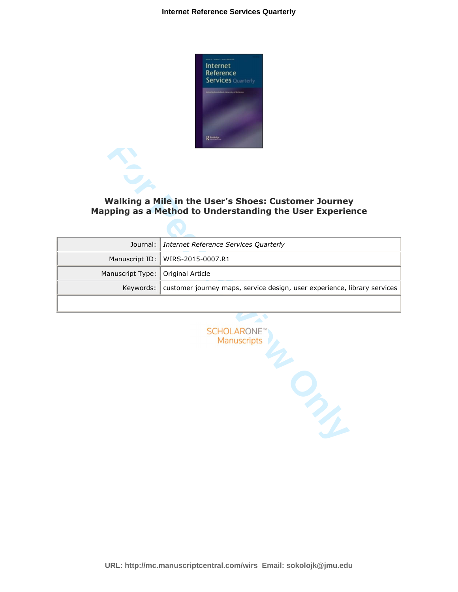

## **Walking a Mile in the User's Shoes: Customer Journey Mapping as a Method to Understanding the User Experience**

|                                     | Journal:   Internet Reference Services Quarterly                                     |
|-------------------------------------|--------------------------------------------------------------------------------------|
|                                     | Manuscript ID:   WIRS-2015-0007.R1                                                   |
| Manuscript Type:   Original Article |                                                                                      |
|                                     | Keywords:   customer journey maps, service design, user experience, library services |
|                                     |                                                                                      |

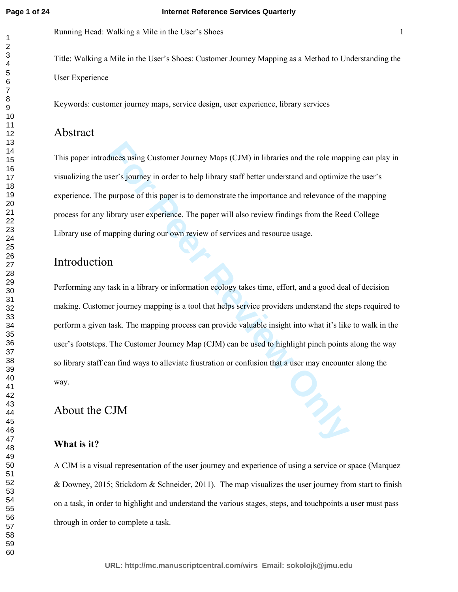Running Head: Walking a Mile in the User's Shoes 1

Title: Walking a Mile in the User's Shoes: Customer Journey Mapping as a Method to Understanding the User Experience

Keywords: customer journey maps, service design, user experience, library services

# Abstract

This paper introduces using Customer Journey Maps (CJM) in libraries and the role mapping can play in visualizing the user's journey in order to help library staff better understand and optimize the user's experience. The purpose of this paper is to demonstrate the importance and relevance of the mapping process for any library user experience. The paper will also review findings from the Reed College Library use of mapping during our own review of services and resource usage.

# Introduction

duces using Customer Journey Maps (CJM) in libraries and the role mapp<br>ser's journey in order to help library staff better understand and optimize<br>purpose of this paper is to demonstrate the importance and relevance of the Performing any task in a library or information ecology takes time, effort, and a good deal of decision making. Customer journey mapping is a tool that helps service providers understand the steps required to perform a given task. The mapping process can provide valuable insight into what it's like to walk in the user's footsteps. The Customer Journey Map (CJM) can be used to highlight pinch points along the way so library staff can find ways to alleviate frustration or confusion that a user may encounter along the way.

# About the CJM

## **What is it?**

A CJM is a visual representation of the user journey and experience of using a service or space (Marquez & Downey, 2015; Stickdorn & Schneider, 2011). The map visualizes the user journey from start to finish on a task, in order to highlight and understand the various stages, steps, and touchpoints a user must pass through in order to complete a task.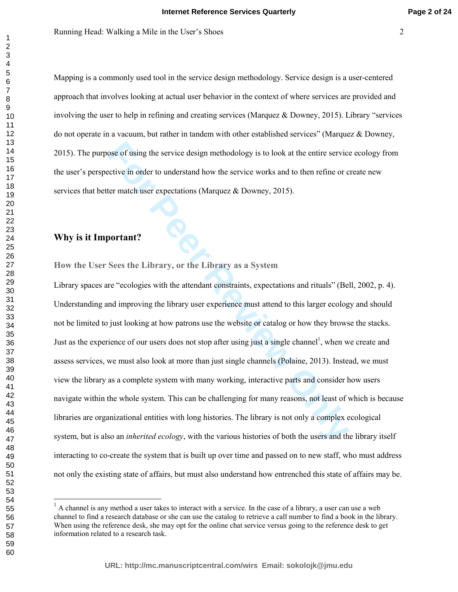Mapping is a commonly used tool in the service design methodology. Service design is a user-centered approach that involves looking at actual user behavior in the context of where services are provided and involving the user to help in refining and creating services (Marquez & Downey, 2015). Library "services do not operate in a vacuum, but rather in tandem with other established services" (Marquez & Downey, 2015). The purpose of using the service design methodology is to look at the entire service ecology from the user's perspective in order to understand how the service works and to then refine or create new services that better match user expectations (Marquez  $\&$  Downey, 2015).

## **Why is it Important?**

**How the User Sees the Library, or the Library as a System** 

ose of using the service design methodology is to look at the entire service<br>citive in order to understand how the service works and to then refine or c<br>ter match user expectations (Marquez & Downey, 2015).<br>**Portant?**<br>**For** Library spaces are "ecologies with the attendant constraints, expectations and rituals" (Bell, 2002, p. 4). Understanding and improving the library user experience must attend to this larger ecology and should not be limited to just looking at how patrons use the website or catalog or how they browse the stacks. Just as the experience of our users does not stop after using just a single channel<sup>1</sup>, when we create and assess services, we must also look at more than just single channels (Polaine, 2013). Instead, we must view the library as a complete system with many working, interactive parts and consider how users navigate within the whole system. This can be challenging for many reasons, not least of which is because libraries are organizational entities with long histories. The library is not only a complex ecological system, but is also an *inherited ecology*, with the various histories of both the users and the library itself interacting to co-create the system that is built up over time and passed on to new staff, who must address not only the existing state of affairs, but must also understand how entrenched this state of affairs may be.

 $\ddot{\phantom{a}}$ 

 $<sup>1</sup>$  A channel is any method a user takes to interact with a service. In the case of a library, a user can use a web</sup> channel to find a research database or she can use the catalog to retrieve a call number to find a book in the library. When using the reference desk, she may opt for the online chat service versus going to the reference desk to get information related to a research task.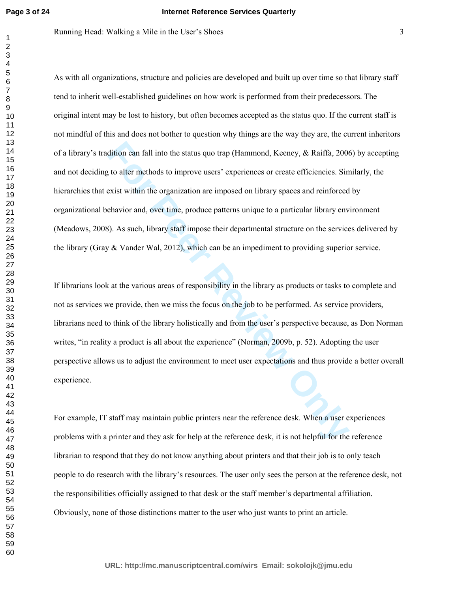Running Head: Walking a Mile in the User's Shoes 3

dition can fall into the status quo trap (Hammond, Keeney, & Raiffa, 2006<br>
It to alter methods to improve users' experiences or create efficiencies. Sin<br>
Exist within the organization are imposed on library spaces and rein As with all organizations, structure and policies are developed and built up over time so that library staff tend to inherit well-established guidelines on how work is performed from their predecessors. The original intent may be lost to history, but often becomes accepted as the status quo. If the current staff is not mindful of this and does not bother to question why things are the way they are, the current inheritors of a library's tradition can fall into the status quo trap (Hammond, Keeney, & Raiffa, 2006) by accepting and not deciding to alter methods to improve users' experiences or create efficiencies. Similarly, the hierarchies that exist within the organization are imposed on library spaces and reinforced by organizational behavior and, over time, produce patterns unique to a particular library environment (Meadows, 2008). As such, library staff impose their departmental structure on the services delivered by the library (Gray & Vander Wal, 2012), which can be an impediment to providing superior service.

If librarians look at the various areas of responsibility in the library as products or tasks to complete and not as services we provide, then we miss the focus on the job to be performed. As service providers, librarians need to think of the library holistically and from the user's perspective because, as Don Norman writes, "in reality a product is all about the experience" (Norman, 2009b, p. 52). Adopting the user perspective allows us to adjust the environment to meet user expectations and thus provide a better overall experience.

For example, IT staff may maintain public printers near the reference desk. When a user experiences problems with a printer and they ask for help at the reference desk, it is not helpful for the reference librarian to respond that they do not know anything about printers and that their job is to only teach people to do research with the library's resources. The user only sees the person at the reference desk, not the responsibilities officially assigned to that desk or the staff member's departmental affiliation. Obviously, none of those distinctions matter to the user who just wants to print an article.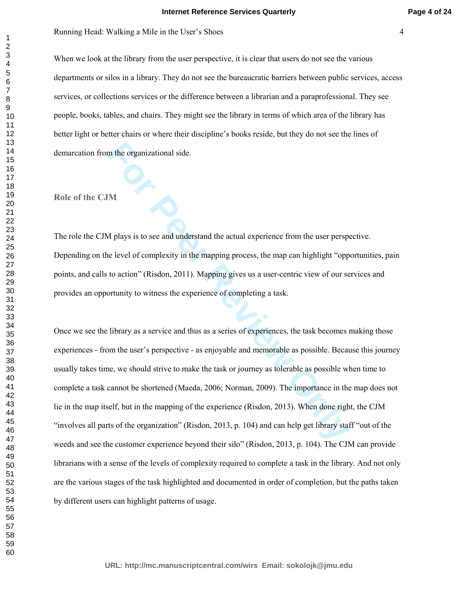#### **Internet Reference Services Quarterly**

When we look at the library from the user perspective, it is clear that users do not see the various departments or silos in a library. They do not see the bureaucratic barriers between public services, access services, or collections services or the difference between a librarian and a paraprofessional. They see people, books, tables, and chairs. They might see the library in terms of which area of the library has better light or better chairs or where their discipline's books reside, but they do not see the lines of demarcation from the organizational side.

## **Role of the CJM**

The role the CJM plays is to see and understand the actual experience from the user perspective. Depending on the level of complexity in the mapping process, the map can highlight "opportunities, pain points, and calls to action" (Risdon, 2011). Mapping gives us a user-centric view of our services and provides an opportunity to witness the experience of completing a task.

**For Perronnian** side.<br> **For Perronnian** Side.<br> **For Peer Peer Peer Peer Side Addingt and Side Addington** and the set perspected of complexity in the mapping process, the map can highlight "oppto action" (Risdon, 2011). Ma Once we see the library as a service and thus as a series of experiences, the task becomes making those experiences - from the user's perspective - as enjoyable and memorable as possible. Because this journey usually takes time, we should strive to make the task or journey as tolerable as possible when time to complete a task cannot be shortened (Maeda, 2006; Norman, 2009). The importance in the map does not lie in the map itself, but in the mapping of the experience (Risdon, 2013). When done right, the CJM "involves all parts of the organization" (Risdon, 2013, p. 104) and can help get library staff "out of the weeds and see the customer experience beyond their silo" (Risdon, 2013, p. 104). The CJM can provide librarians with a sense of the levels of complexity required to complete a task in the library. And not only are the various stages of the task highlighted and documented in order of completion, but the paths taken by different users can highlight patterns of usage.

**URL: http://mc.manuscriptcentral.com/wirs Email: sokolojk@jmu.edu**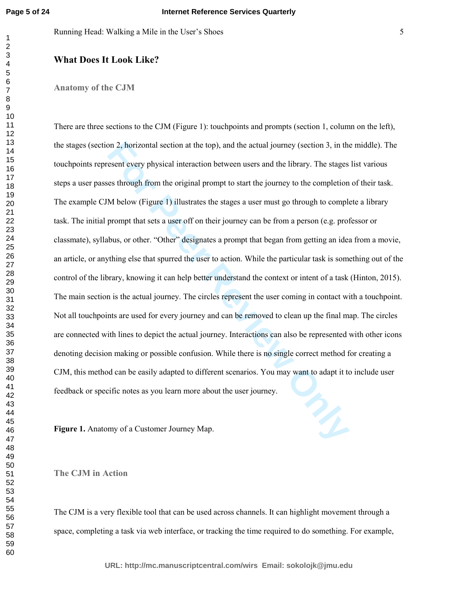#### **What Does It Look Like?**

#### **Anatomy of the CJM**

The actual section at the top), and the actual journey (section 3, in the seent every physical interaction between users and the library. The stages est through from the original prompt to start the journey to the completi There are three sections to the CJM (Figure 1): touchpoints and prompts (section 1, column on the left), the stages (section 2, horizontal section at the top), and the actual journey (section 3, in the middle). The touchpoints represent every physical interaction between users and the library. The stages list various steps a user passes through from the original prompt to start the journey to the completion of their task. The example CJM below (Figure 1) illustrates the stages a user must go through to complete a library task. The initial prompt that sets a user off on their journey can be from a person (e.g. professor or classmate), syllabus, or other. "Other" designates a prompt that began from getting an idea from a movie, an article, or anything else that spurred the user to action. While the particular task is something out of the control of the library, knowing it can help better understand the context or intent of a task (Hinton, 2015). The main section is the actual journey. The circles represent the user coming in contact with a touchpoint. Not all touchpoints are used for every journey and can be removed to clean up the final map. The circles are connected with lines to depict the actual journey. Interactions can also be represented with other icons denoting decision making or possible confusion. While there is no single correct method for creating a CJM, this method can be easily adapted to different scenarios. You may want to adapt it to include user feedback or specific notes as you learn more about the user journey.

**Figure 1.** Anatomy of a Customer Journey Map.

#### **The CJM in Action**

The CJM is a very flexible tool that can be used across channels. It can highlight movement through a space, completing a task via web interface, or tracking the time required to do something. For example,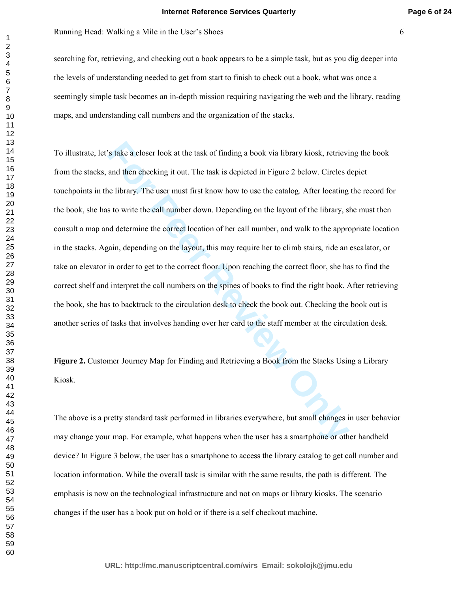#### **Internet Reference Services Quarterly**

Running Head: Walking a Mile in the User's Shoes 6

searching for, retrieving, and checking out a book appears to be a simple task, but as you dig deeper into the levels of understanding needed to get from start to finish to check out a book, what was once a seemingly simple task becomes an in-depth mission requiring navigating the web and the library, reading maps, and understanding call numbers and the organization of the stacks.

<sup>1</sup>'s take a closer look at the task of finding a book via library kiosk, retrievi<br>and then checking it out. The task is depicted in Figure 2 below. Circles d<br>ale library. The user must first know how to use the catalog. A To illustrate, let's take a closer look at the task of finding a book via library kiosk, retrieving the book from the stacks, and then checking it out. The task is depicted in Figure 2 below. Circles depict touchpoints in the library. The user must first know how to use the catalog. After locating the record for the book, she has to write the call number down. Depending on the layout of the library, she must then consult a map and determine the correct location of her call number, and walk to the appropriate location in the stacks. Again, depending on the layout, this may require her to climb stairs, ride an escalator, or take an elevator in order to get to the correct floor. Upon reaching the correct floor, she has to find the correct shelf and interpret the call numbers on the spines of books to find the right book. After retrieving the book, she has to backtrack to the circulation desk to check the book out. Checking the book out is another series of tasks that involves handing over her card to the staff member at the circulation desk.

**Figure 2.** Customer Journey Map for Finding and Retrieving a Book from the Stacks Using a Library Kiosk.

The above is a pretty standard task performed in libraries everywhere, but small changes in user behavior may change your map. For example, what happens when the user has a smartphone or other handheld device? In Figure 3 below, the user has a smartphone to access the library catalog to get call number and location information. While the overall task is similar with the same results, the path is different. The emphasis is now on the technological infrastructure and not on maps or library kiosks. The scenario changes if the user has a book put on hold or if there is a self checkout machine.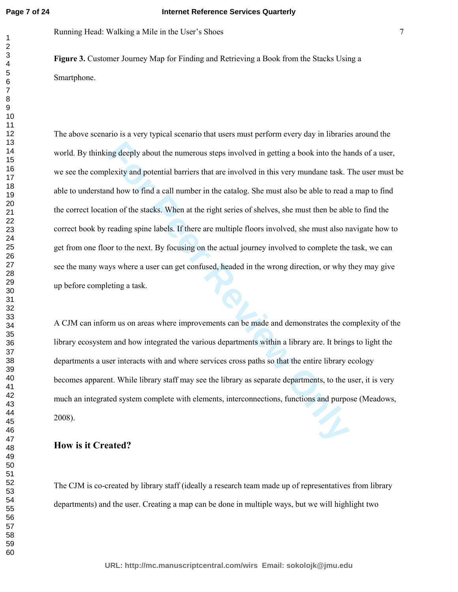Running Head: Walking a Mile in the User's Shoes 7

**Figure 3.** Customer Journey Map for Finding and Retrieving a Book from the Stacks Using a Smartphone.

Ing deeply about the numerous steps involved in getting a book into the halexity and potential barriers that are involved in this very mundane task. The delevity and potential barriers that are involved in this very mundan The above scenario is a very typical scenario that users must perform every day in libraries around the world. By thinking deeply about the numerous steps involved in getting a book into the hands of a user, we see the complexity and potential barriers that are involved in this very mundane task. The user must be able to understand how to find a call number in the catalog. She must also be able to read a map to find the correct location of the stacks. When at the right series of shelves, she must then be able to find the correct book by reading spine labels. If there are multiple floors involved, she must also navigate how to get from one floor to the next. By focusing on the actual journey involved to complete the task, we can see the many ways where a user can get confused, headed in the wrong direction, or why they may give up before completing a task.

A CJM can inform us on areas where improvements can be made and demonstrates the complexity of the library ecosystem and how integrated the various departments within a library are. It brings to light the departments a user interacts with and where services cross paths so that the entire library ecology becomes apparent. While library staff may see the library as separate departments, to the user, it is very much an integrated system complete with elements, interconnections, functions and purpose (Meadows, 2008).

## **How is it Created?**

The CJM is co-created by library staff (ideally a research team made up of representatives from library departments) and the user. Creating a map can be done in multiple ways, but we will highlight two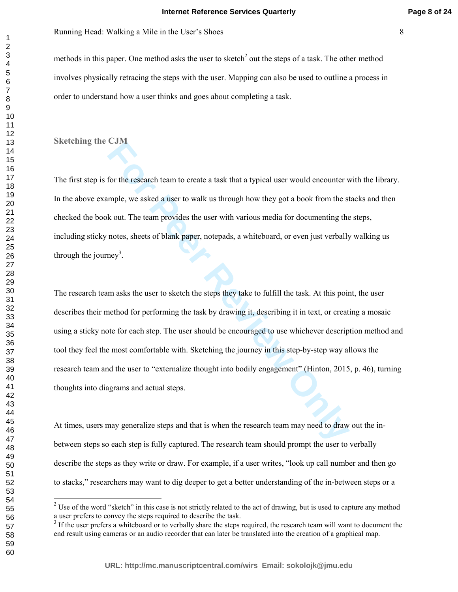#### **Internet Reference Services Quarterly**

Running Head: Walking a Mile in the User's Shoes 8

methods in this paper. One method asks the user to sketch<sup>2</sup> out the steps of a task. The other method involves physically retracing the steps with the user. Mapping can also be used to outline a process in order to understand how a user thinks and goes about completing a task.

**Sketching the CJM** 

The first step is for the research team to create a task that a typical user would encounter with the library. In the above example, we asked a user to walk us through how they got a book from the stacks and then checked the book out. The team provides the user with various media for documenting the steps, including sticky notes, sheets of blank paper, notepads, a whiteboard, or even just verbally walking us through the journey<sup>3</sup>.

**Earth**<br> **For the research team to create a task that a typical user would encounter v<br>
smple, we asked a user to walk us through how they got a book from the st<br>
<b>K** out. The team provides the user with various media for The research team asks the user to sketch the steps they take to fulfill the task. At this point, the user describes their method for performing the task by drawing it, describing it in text, or creating a mosaic using a sticky note for each step. The user should be encouraged to use whichever description method and tool they feel the most comfortable with. Sketching the journey in this step-by-step way allows the research team and the user to "externalize thought into bodily engagement" (Hinton, 2015, p. 46), turning thoughts into diagrams and actual steps.

At times, users may generalize steps and that is when the research team may need to draw out the inbetween steps so each step is fully captured. The research team should prompt the user to verbally describe the steps as they write or draw. For example, if a user writes, "look up call number and then go to stacks," researchers may want to dig deeper to get a better understanding of the in-between steps or a

**Page 8 of 24**

<sup>&</sup>lt;sup>2</sup> Use of the word "sketch" in this case is not strictly related to the act of drawing, but is used to capture any method a user prefers to convey the steps required to describe the task.

 If the user prefers a whiteboard or to verbally share the steps required, the research team will want to document the end result using cameras or an audio recorder that can later be translated into the creation of a graphical map.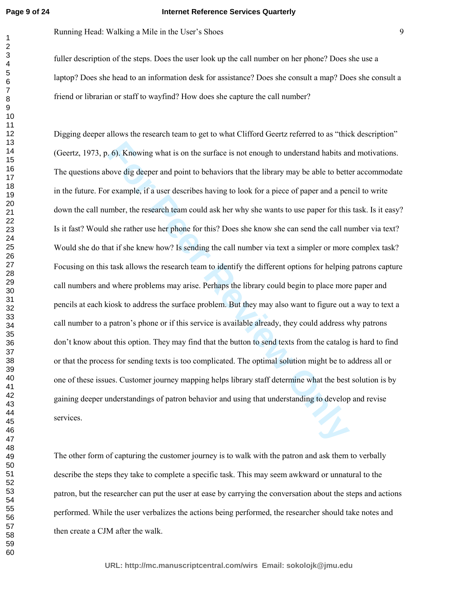#### **Internet Reference Services Quarterly**

Running Head: Walking a Mile in the User's Shoes 9

fuller description of the steps. Does the user look up the call number on her phone? Does she use a laptop? Does she head to an information desk for assistance? Does she consult a map? Does she consult a friend or librarian or staff to wayfind? How does she capture the call number?

**Following what is on the surface is not enough to understand habits and solve dig deeper and point to behaviors that the library may be able to better example, if a user describes having to look for a piece of paper and a** Digging deeper allows the research team to get to what Clifford Geertz referred to as "thick description" (Geertz, 1973, p. 6). Knowing what is on the surface is not enough to understand habits and motivations. The questions above dig deeper and point to behaviors that the library may be able to better accommodate in the future. For example, if a user describes having to look for a piece of paper and a pencil to write down the call number, the research team could ask her why she wants to use paper for this task. Is it easy? Is it fast? Would she rather use her phone for this? Does she know she can send the call number via text? Would she do that if she knew how? Is sending the call number via text a simpler or more complex task? Focusing on this task allows the research team to identify the different options for helping patrons capture call numbers and where problems may arise. Perhaps the library could begin to place more paper and pencils at each kiosk to address the surface problem. But they may also want to figure out a way to text a call number to a patron's phone or if this service is available already, they could address why patrons don't know about this option. They may find that the button to send texts from the catalog is hard to find or that the process for sending texts is too complicated. The optimal solution might be to address all or one of these issues. Customer journey mapping helps library staff determine what the best solution is by gaining deeper understandings of patron behavior and using that understanding to develop and revise services.

The other form of capturing the customer journey is to walk with the patron and ask them to verbally describe the steps they take to complete a specific task. This may seem awkward or unnatural to the patron, but the researcher can put the user at ease by carrying the conversation about the steps and actions performed. While the user verbalizes the actions being performed, the researcher should take notes and then create a CJM after the walk.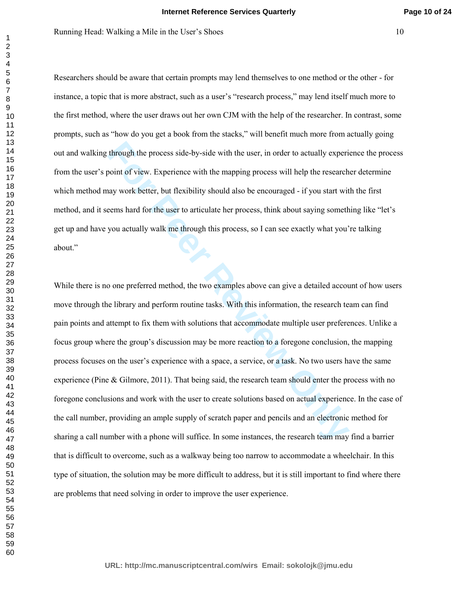Researchers should be aware that certain prompts may lend themselves to one method or the other - for instance, a topic that is more abstract, such as a user's "research process," may lend itself much more to the first method, where the user draws out her own CJM with the help of the researcher. In contrast, some prompts, such as "how do you get a book from the stacks," will benefit much more from actually going out and walking through the process side-by-side with the user, in order to actually experience the process from the user's point of view. Experience with the mapping process will help the researcher determine which method may work better, but flexibility should also be encouraged - if you start with the first method, and it seems hard for the user to articulate her process, think about saying something like "let's get up and have you actually walk me through this process, so I can see exactly what you're talking about."

through the process side-by-side with the user, in order to actually experi-<br>point of view. Experience with the mapping process will help the research<br>ay work better, but flexibility should also be encouraged - if you star While there is no one preferred method, the two examples above can give a detailed account of how users move through the library and perform routine tasks. With this information, the research team can find pain points and attempt to fix them with solutions that accommodate multiple user preferences. Unlike a focus group where the group's discussion may be more reaction to a foregone conclusion, the mapping process focuses on the user's experience with a space, a service, or a task. No two users have the same experience (Pine & Gilmore, 2011). That being said, the research team should enter the process with no foregone conclusions and work with the user to create solutions based on actual experience. In the case of the call number, providing an ample supply of scratch paper and pencils and an electronic method for sharing a call number with a phone will suffice. In some instances, the research team may find a barrier that is difficult to overcome, such as a walkway being too narrow to accommodate a wheelchair. In this type of situation, the solution may be more difficult to address, but it is still important to find where there are problems that need solving in order to improve the user experience.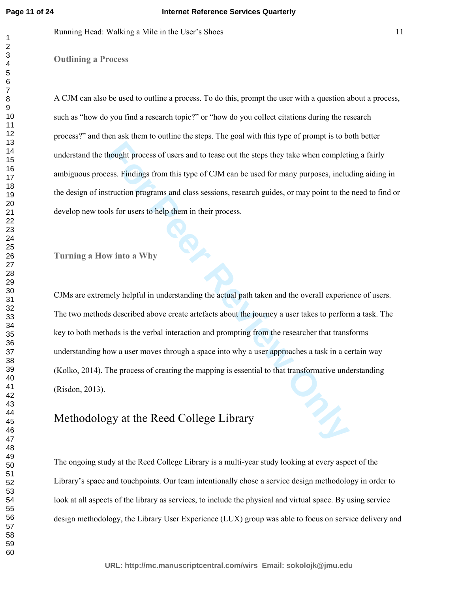Running Head: Walking a Mile in the User's Shoes 11

**Outlining a Process** 

A CJM can also be used to outline a process. To do this, prompt the user with a question about a process, such as "how do you find a research topic?" or "how do you collect citations during the research process?" and then ask them to outline the steps. The goal with this type of prompt is to both better understand the thought process of users and to tease out the steps they take when completing a fairly ambiguous process. Findings from this type of CJM can be used for many purposes, including aiding in the design of instruction programs and class sessions, research guides, or may point to the need to find or develop new tools for users to help them in their process.

**Turning a How into a Why** 

mought process of users and to tease out the steps they take when completies.<br>
Findings from this type of CJM can be used for many purposes, included<br>
truction programs and class sessions, research guides, or may point to CJMs are extremely helpful in understanding the actual path taken and the overall experience of users. The two methods described above create artefacts about the journey a user takes to perform a task. The key to both methods is the verbal interaction and prompting from the researcher that transforms understanding how a user moves through a space into why a user approaches a task in a certain way (Kolko, 2014). The process of creating the mapping is essential to that transformative understanding (Risdon, 2013).

# Methodology at the Reed College Library

The ongoing study at the Reed College Library is a multi-year study looking at every aspect of the Library's space and touchpoints. Our team intentionally chose a service design methodology in order to look at all aspects of the library as services, to include the physical and virtual space. By using service design methodology, the Library User Experience (LUX) group was able to focus on service delivery and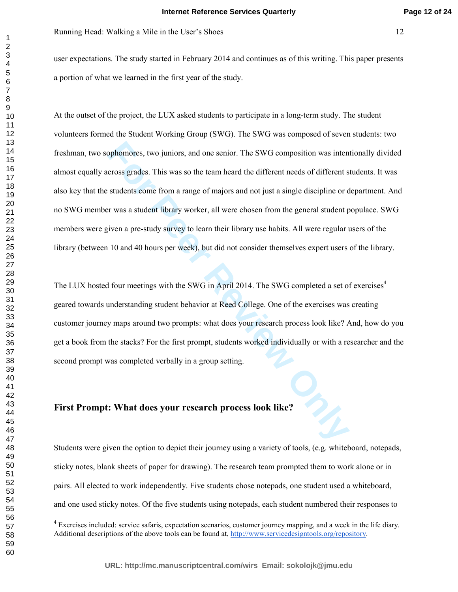user expectations. The study started in February 2014 and continues as of this writing. This paper presents a portion of what we learned in the first year of the study.

pophomores, two juniors, and one senior. The SWG composition was inter<br>cross grades. This was so the team heard the different needs of different s<br>students come from a range of majors and not just a single discipline or d<br> At the outset of the project, the LUX asked students to participate in a long-term study. The student volunteers formed the Student Working Group (SWG). The SWG was composed of seven students: two freshman, two sophomores, two juniors, and one senior. The SWG composition was intentionally divided almost equally across grades. This was so the team heard the different needs of different students. It was also key that the students come from a range of majors and not just a single discipline or department. And no SWG member was a student library worker, all were chosen from the general student populace. SWG members were given a pre-study survey to learn their library use habits. All were regular users of the library (between 10 and 40 hours per week), but did not consider themselves expert users of the library.

The LUX hosted four meetings with the SWG in April 2014. The SWG completed a set of exercises<sup>4</sup> geared towards understanding student behavior at Reed College. One of the exercises was creating customer journey maps around two prompts: what does your research process look like? And, how do you get a book from the stacks? For the first prompt, students worked individually or with a researcher and the second prompt was completed verbally in a group setting.

## **First Prompt: What does your research process look like?**

Students were given the option to depict their journey using a variety of tools, (e.g. whiteboard, notepads, sticky notes, blank sheets of paper for drawing). The research team prompted them to work alone or in pairs. All elected to work independently. Five students chose notepads, one student used a whiteboard, and one used sticky notes. Of the five students using notepads, each student numbered their responses to

 $\ddot{\phantom{a}}$ 

<sup>&</sup>lt;sup>4</sup> Exercises included: service safaris, expectation scenarios, customer journey mapping, and a week in the life diary. Additional descriptions of the above tools can be found at, http://www.servicedesigntools.org/repository.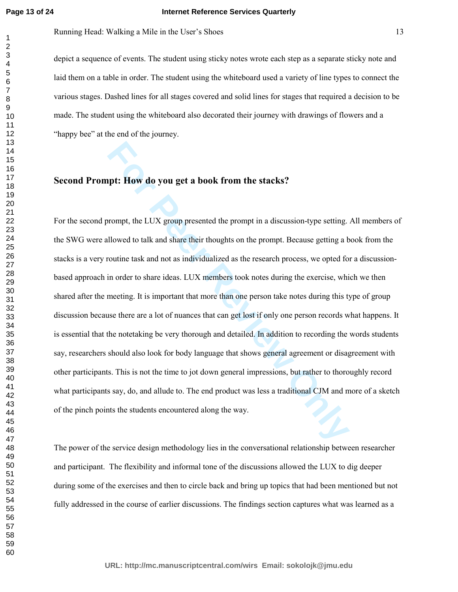#### **Internet Reference Services Quarterly**

Running Head: Walking a Mile in the User's Shoes 13

depict a sequence of events. The student using sticky notes wrote each step as a separate sticky note and laid them on a table in order. The student using the whiteboard used a variety of line types to connect the various stages. Dashed lines for all stages covered and solid lines for stages that required a decision to be made. The student using the whiteboard also decorated their journey with drawings of flowers and a "happy bee" at the end of the journey.

## **Second Prompt: How do you get a book from the stacks?**

**Formulation For Perromy For Perromy For Perromy For Perromy For Perromy For Perromy For Perromy For Perromy For Perromy For Perromy For Perromy For Perromy For Perromy For Perromy For Perromy** For the second prompt, the LUX group presented the prompt in a discussion-type setting. All members of the SWG were allowed to talk and share their thoughts on the prompt. Because getting a book from the stacks is a very routine task and not as individualized as the research process, we opted for a discussionbased approach in order to share ideas. LUX members took notes during the exercise, which we then shared after the meeting. It is important that more than one person take notes during this type of group discussion because there are a lot of nuances that can get lost if only one person records what happens. It is essential that the notetaking be very thorough and detailed. In addition to recording the words students say, researchers should also look for body language that shows general agreement or disagreement with other participants. This is not the time to jot down general impressions, but rather to thoroughly record what participants say, do, and allude to. The end product was less a traditional CJM and more of a sketch of the pinch points the students encountered along the way.

The power of the service design methodology lies in the conversational relationship between researcher and participant. The flexibility and informal tone of the discussions allowed the LUX to dig deeper during some of the exercises and then to circle back and bring up topics that had been mentioned but not fully addressed in the course of earlier discussions. The findings section captures what was learned as a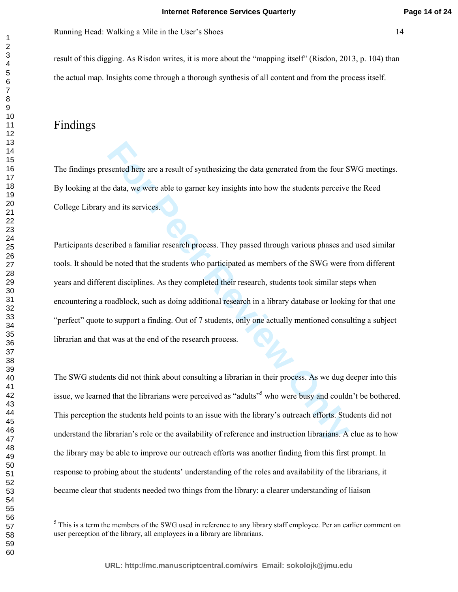result of this digging. As Risdon writes, it is more about the "mapping itself" (Risdon, 2013, p. 104) than the actual map. Insights come through a thorough synthesis of all content and from the process itself.

# Findings

The findings presented here are a result of synthesizing the data generated from the four SWG meetings. By looking at the data, we were able to garner key insights into how the students perceive the Reed College Library and its services.

sented here are a result of synthesizing the data generated from the four S<br>
e data, we were able to garner key insights into how the students perceive<br>
and its services.<br>
Firibed a familiar research process. They passed t Participants described a familiar research process. They passed through various phases and used similar tools. It should be noted that the students who participated as members of the SWG were from different years and different disciplines. As they completed their research, students took similar steps when encountering a roadblock, such as doing additional research in a library database or looking for that one "perfect" quote to support a finding. Out of 7 students, only one actually mentioned consulting a subject librarian and that was at the end of the research process.

The SWG students did not think about consulting a librarian in their process. As we dug deeper into this issue, we learned that the librarians were perceived as "adults"<sup>5</sup> who were busy and couldn't be bothered. This perception the students held points to an issue with the library's outreach efforts. Students did not understand the librarian's role or the availability of reference and instruction librarians. A clue as to how the library may be able to improve our outreach efforts was another finding from this first prompt. In response to probing about the students' understanding of the roles and availability of the librarians, it became clear that students needed two things from the library: a clearer understanding of liaison

<sup>&</sup>lt;sup>5</sup> This is a term the members of the SWG used in reference to any library staff employee. Per an earlier comment on user perception of the library, all employees in a library are librarians.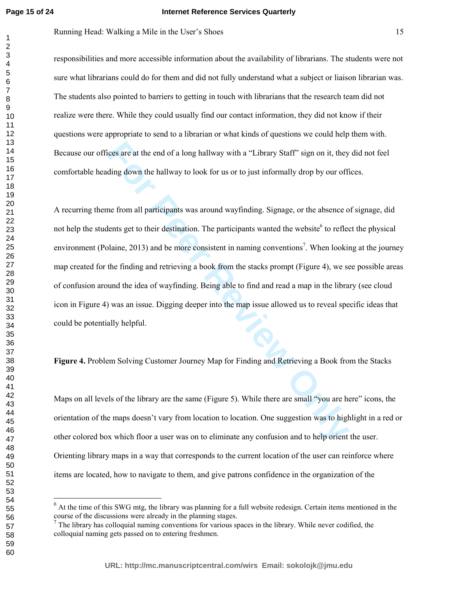#### **Internet Reference Services Quarterly**

Running Head: Walking a Mile in the User's Shoes 15

responsibilities and more accessible information about the availability of librarians. The students were not sure what librarians could do for them and did not fully understand what a subject or liaison librarian was. The students also pointed to barriers to getting in touch with librarians that the research team did not realize were there. While they could usually find our contact information, they did not know if their questions were appropriate to send to a librarian or what kinds of questions we could help them with. Because our offices are at the end of a long hallway with a "Library Staff" sign on it, they did not feel comfortable heading down the hallway to look for us or to just informally drop by our offices.

ices are at the end of a long hallway with a "Library Staff" sign on it, they<br>ding down the hallway to look for us or to just informally drop by our offit<br>me from all participants was around wayfinding. Signage, or the abs A recurring theme from all participants was around wayfinding. Signage, or the absence of signage, did not help the students get to their destination. The participants wanted the website<sup>6</sup> to reflect the physical environment (Polaine, 2013) and be more consistent in naming conventions<sup>7</sup>. When looking at the journey map created for the finding and retrieving a book from the stacks prompt (Figure 4), we see possible areas of confusion around the idea of wayfinding. Being able to find and read a map in the library (see cloud icon in Figure 4) was an issue. Digging deeper into the map issue allowed us to reveal specific ideas that could be potentially helpful.

**Figure 4.** Problem Solving Customer Journey Map for Finding and Retrieving a Book from the Stacks

Maps on all levels of the library are the same (Figure 5). While there are small "you are here" icons, the orientation of the maps doesn't vary from location to location. One suggestion was to highlight in a red or other colored box which floor a user was on to eliminate any confusion and to help orient the user. Orienting library maps in a way that corresponds to the current location of the user can reinforce where items are located, how to navigate to them, and give patrons confidence in the organization of the

 $\overline{a}$ 

<sup>&</sup>lt;sup>6</sup> At the time of this SWG mtg, the library was planning for a full website redesign. Certain items mentioned in the course of the discussions were already in the planning stages.

 $<sup>7</sup>$  The library has colloquial naming conventions for various spaces in the library. While never codified, the</sup> colloquial naming gets passed on to entering freshmen.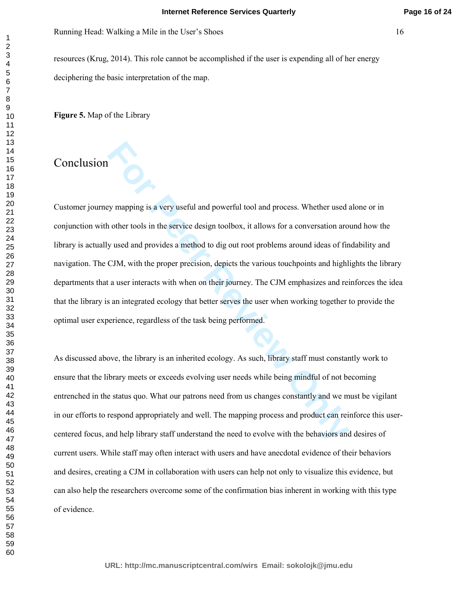resources (Krug, 2014). This role cannot be accomplished if the user is expending all of her energy deciphering the basic interpretation of the map.

**Figure 5.** Map of the Library

# Conclusion

Experiment pay mapping is a very useful and powerful tool and process. Whether used an other tools in the service design toolbox, it allows for a conversation aro y used and provides a method to dig out root problems aroun Customer journey mapping is a very useful and powerful tool and process. Whether used alone or in conjunction with other tools in the service design toolbox, it allows for a conversation around how the library is actually used and provides a method to dig out root problems around ideas of findability and navigation. The CJM, with the proper precision, depicts the various touchpoints and highlights the library departments that a user interacts with when on their journey. The CJM emphasizes and reinforces the idea that the library is an integrated ecology that better serves the user when working together to provide the optimal user experience, regardless of the task being performed.

As discussed above, the library is an inherited ecology. As such, library staff must constantly work to ensure that the library meets or exceeds evolving user needs while being mindful of not becoming entrenched in the status quo. What our patrons need from us changes constantly and we must be vigilant in our efforts to respond appropriately and well. The mapping process and product can reinforce this usercentered focus, and help library staff understand the need to evolve with the behaviors and desires of current users. While staff may often interact with users and have anecdotal evidence of their behaviors and desires, creating a CJM in collaboration with users can help not only to visualize this evidence, but can also help the researchers overcome some of the confirmation bias inherent in working with this type of evidence.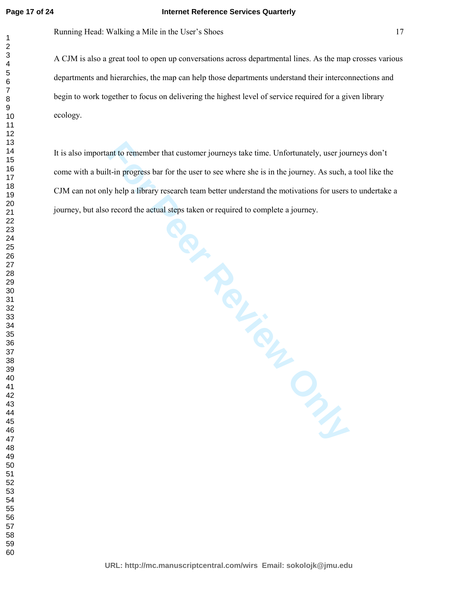#### **Internet Reference Services Quarterly**

Running Head: Walking a Mile in the User's Shoes 17

A CJM is also a great tool to open up conversations across departmental lines. As the map crosses various departments and hierarchies, the map can help those departments understand their interconnections and begin to work together to focus on delivering the highest level of service required for a given library ecology.

**Per Review Only** It is also important to remember that customer journeys take time. Unfortunately, user journeys don't come with a built-in progress bar for the user to see where she is in the journey. As such, a tool like the CJM can not only help a library research team better understand the motivations for users to undertake a journey, but also record the actual steps taken or required to complete a journey.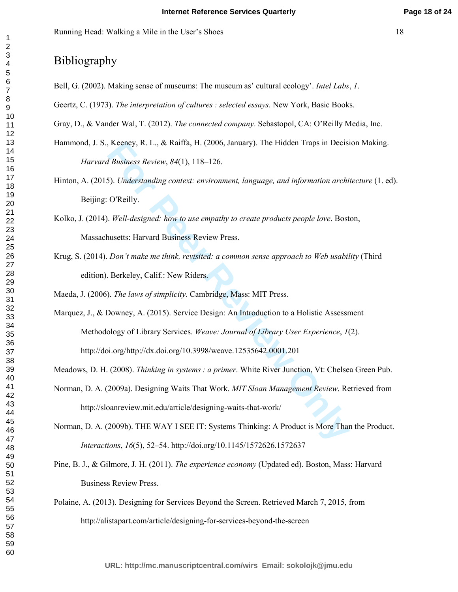# Bibliography

- Bell, G. (2002). Making sense of museums: The museum as' cultural ecology'. *Intel Labs*, *1*.
- Geertz, C. (1973). *The interpretation of cultures : selected essays*. New York, Basic Books.

Gray, D., & Vander Wal, T. (2012). *The connected company*. Sebastopol, CA: O'Reilly Media, Inc.

- Hammond, J. S., Keeney, R. L., & Raiffa, H. (2006, January). The Hidden Traps in Decision Making. *Harvard Business Review*, *84*(1), 118–126.
- Hinton, A. (2015). *Understanding context: environment, language, and information architecture* (1. ed). Beijing: O'Reilly.
- Kolko, J. (2014). *Well-designed: how to use empathy to create products people love*. Boston, Massachusetts: Harvard Business Review Press.
- Krug, S. (2014). *Don't make me think, revisited: a common sense approach to Web usability* (Third edition). Berkeley, Calif.: New Riders.

Maeda, J. (2006). *The laws of simplicity*. Cambridge, Mass: MIT Press.

Keeney, R. L., & Raiffa, H. (2006, January). The Hidden Traps in Decisions *Business Review*, *84*(1), 118–126.<br> **For Peer Review,** *B4***(1), 118–126.**<br> **For Peer Review And Ally Level Action** and information archively.<br> **Fo** Marquez, J., & Downey, A. (2015). Service Design: An Introduction to a Holistic Assessment Methodology of Library Services. *Weave: Journal of Library User Experience*, *1*(2). http://doi.org/http://dx.doi.org/10.3998/weave.12535642.0001.201

Meadows, D. H. (2008). *Thinking in systems : a primer*. White River Junction, Vt: Chelsea Green Pub.

- Norman, D. A. (2009a). Designing Waits That Work. *MIT Sloan Management Review*. Retrieved from http://sloanreview.mit.edu/article/designing-waits-that-work/
- Norman, D. A. (2009b). THE WAY I SEE IT: Systems Thinking: A Product is More Than the Product. *Interactions*, *16*(5), 52–54. http://doi.org/10.1145/1572626.1572637
- Pine, B. J., & Gilmore, J. H. (2011). *The experience economy* (Updated ed). Boston, Mass: Harvard Business Review Press.
- Polaine, A. (2013). Designing for Services Beyond the Screen. Retrieved March 7, 2015, from http://alistapart.com/article/designing-for-services-beyond-the-screen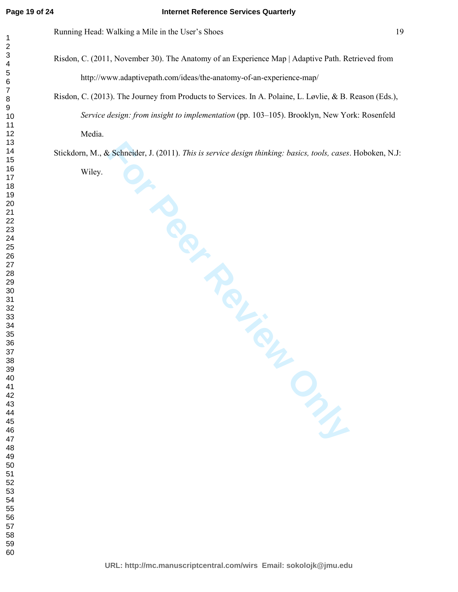- Risdon, C. (2011, November 30). The Anatomy of an Experience Map | Adaptive Path. Retrieved from http://www.adaptivepath.com/ideas/the-anatomy-of-an-experience-map/
- Risdon, C. (2013). The Journey from Products to Services. In A. Polaine, L. Løvlie, & B. Reason (Eds.), *Service design: from insight to implementation* (pp. 103–105). Brooklyn, New York: Rosenfeld Media.

Stickdorn, M., & Schneider, J. (2011). *This is service design thinking: basics, tools, cases*. Hoboken, N.J:

Wiley.

Exchander, J. (2011). This is service design thinking: basics, tools, cases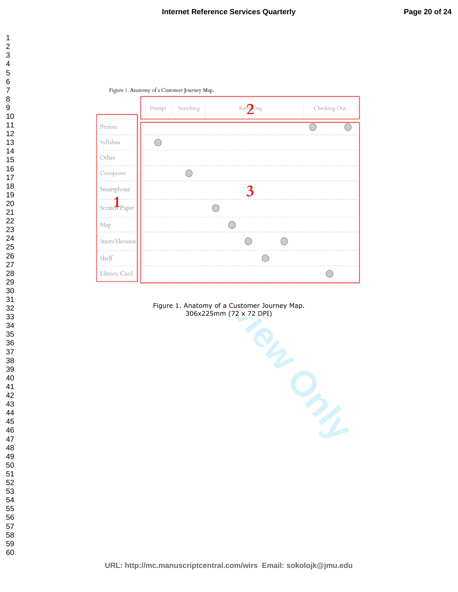

Figure 1. Anatomy of a Customer Journey Map.



Figure 1. Anatomy of a Customer Journey Map. 306x225mm (72 x 72 DPI)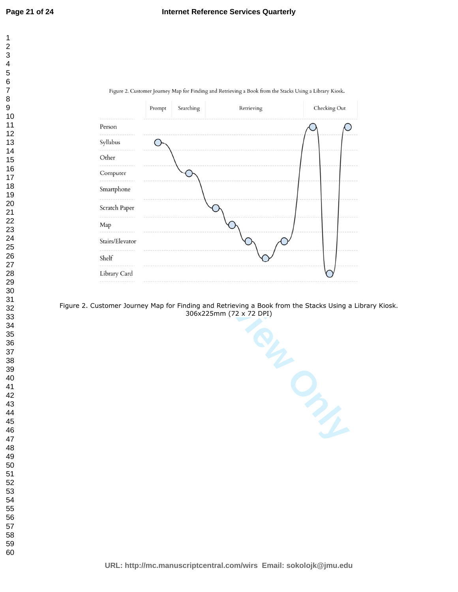



#### Figure 2. Customer Journey Map for Finding and Retrieving a Book from the Stacks Using a Library Kiosk. 306x225mm (72 x 72 DPI)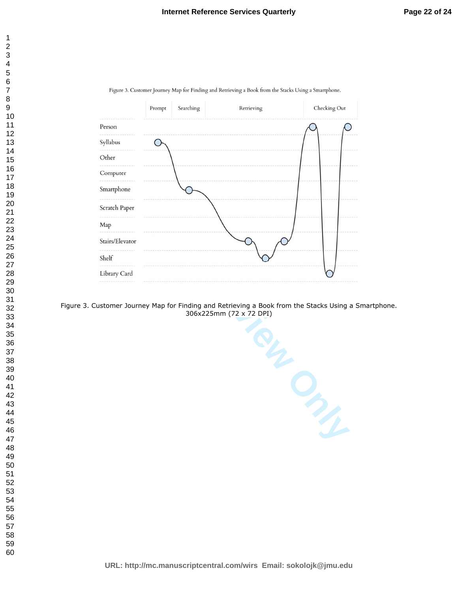

Figure 3. Customer Journey Map for Finding and Retrieving a Book from the Stacks Using a Smartphone.

Figure 3. Customer Journey Map for Finding and Retrieving a Book from the Stacks Using a Smartphone. 306x225mm (72 x 72 DPI)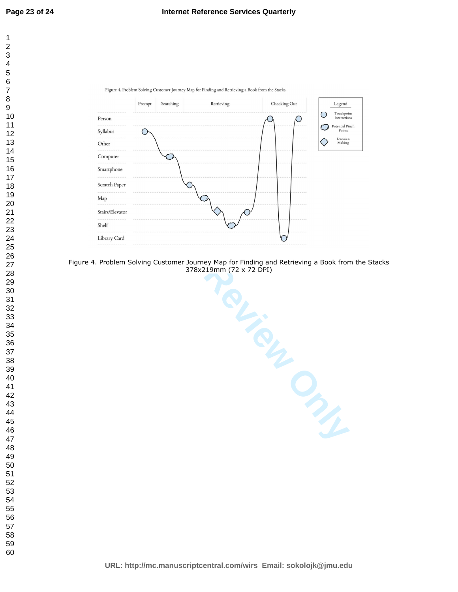



Figure 4. Problem Solving Customer Journey Map for Finding and Retrieving a Book from the Stacks 378x219mm (72 x 72 DPI)